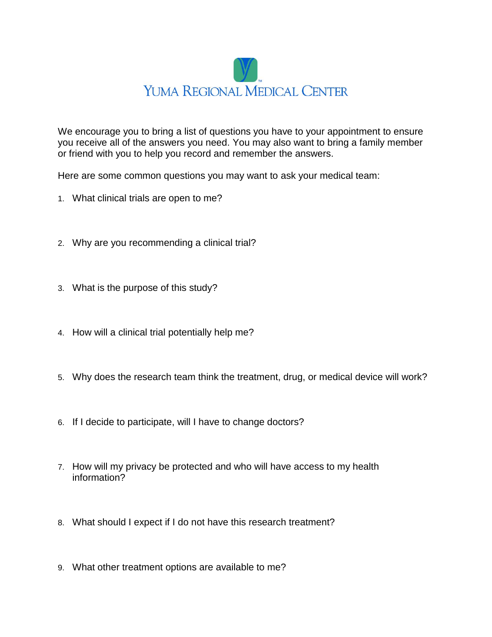

We encourage you to bring a list of questions you have to your appointment to ensure you receive all of the answers you need. You may also want to bring a family member or friend with you to help you record and remember the answers.

Here are some common questions you may want to ask your medical team:

- 1. What clinical trials are open to me?
- 2. Why are you recommending a clinical trial?
- 3. What is the purpose of this study?
- 4. How will a clinical trial potentially help me?
- 5. Why does the research team think the treatment, drug, or medical device will work?
- 6. If I decide to participate, will I have to change doctors?
- 7. How will my privacy be protected and who will have access to my health information?
- 8. What should I expect if I do not have this research treatment?
- 9. What other treatment options are available to me?